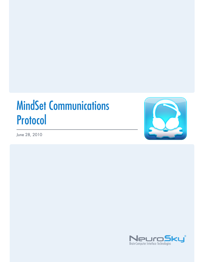# MindSet Communications Protocol

June 28, 2010



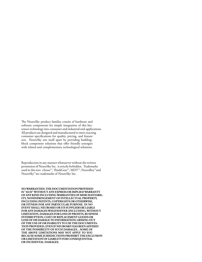The NeuroSky product families consist of hardware and software components for simple integration of this biosensor technology into consumer and industrial end-applications. All products are designed and manufactured to meet exacting consumer specifications for quality, pricing, and feature sets. NeuroSky sets itself apart by providing buildingblock component solutions that offer friendly synergies with related and complementary technological solutions.

Reproduction in any manner whatsoever without the written permission of NeuroSky Inc. is strictly forbidden. Trademarks used in this text: eSense™, ThinkGear™, MDT™, NeuroBoy™and NeuroSky™are trademarks of NeuroSky Inc.

**NOWARRANTIES: THE DOCUMENTATION PROVIDED IS "AS IS" WITHOUT ANY EXPRESS OR IMPLIED WARRANTY OF ANY KIND INCLUDINGWARRANTIES OF MERCHANTABIL-ITY, NONINFRINGEMENT OF INTELLECTUAL PROPERTY, INCLUDING PATENTS, COPYRIGHTS OR OTHERWISE, OR FITNESS FOR ANY PARTICULAR PURPOSE. IN NO EVENT SHALL NEUROSKY OR ITS SUPPLIERS BE LIABLE FOR ANY DAMAGESWHATSOEVER (INCLUDING,WITHOUT LIMITATION, DAMAGES FOR LOSS OF PROFITS, BUSINESS INTERRUPTION, COST OF REPLACEMENT GOODS OR LOSS OF OR DAMAGE TO INFORMATION) ARISING OUT OF THE USE OF OR INABILITY TO USE THE DOCUMENTA-TION PROVIDED, EVEN IF NEUROSKY HAS BEEN ADVISED OF THE POSSIBILITY OF SUCH DAMAGES. , SOME OF THE ABOVE LIMITATIONS MAY NOT APPLY TO YOU BECAUSE SOME JURISDICTIONS PROHIBIT THE EXCLUSION OR LIMITATION OF LIABILITY FOR CONSEQUENTIAL OR INCIDENTAL DAMAGES.**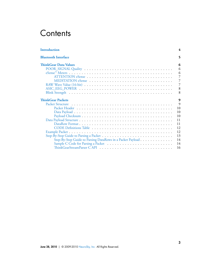## **Contents**

| <b>Introduction</b>                                        |
|------------------------------------------------------------|
| <b>Bluetooth Interface</b>                                 |
| ThinkGear Data Values                                      |
|                                                            |
|                                                            |
|                                                            |
|                                                            |
|                                                            |
|                                                            |
|                                                            |
| <b>ThinkGear Packets</b>                                   |
|                                                            |
|                                                            |
|                                                            |
|                                                            |
|                                                            |
|                                                            |
| CODE Definitions Table                                     |
|                                                            |
|                                                            |
| Step-By-Step Guide to Parsing DataRows in a Packet Payload |
|                                                            |
|                                                            |
|                                                            |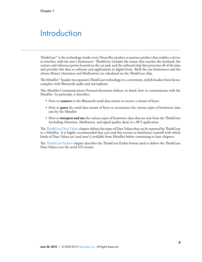## <span id="page-3-0"></span>**Introduction**

ThinkGear<sup>™</sup> is the technology inside every NeuroSky product or partner product that enables a device to interface with the user's brainwaves. ThinkGear includes the sensor that touches the forehead, the contact and reference points located on the ear pad, and the onboard chip that processes all of the data and provides this data to software and applications in digital form. Both the raw brainwaves and the eSense Meters (Attention and Meditation) are calculated on the ThinkGear chip.

The MindSet™ headset incorporates ThinkGear technology in a convenient, stylish headset form factor, complete with Bluetooth audio and microphone.

This MindSet Communications Protocol document defines, in detail, how to communicate with the MindSet. In particular, it describes:

- How to **connect** to the Bluetooth serial data stream to receive a stream of bytes.
- How to **parse** the serial data stream of bytes to reconstruct the various types of brainwave data sent by the MindSet
- How to *interpret and use* the various types of brainwave data that are sent from the ThinkGear (including Attention, Meditation, and signal quality data) in a BCI application

The Th[inkGear Data Values](#page-5-0) chapter defines the types of Data Values that can be reported by ThinkGear in a MindSet. It is highly recommended that you read this section to familiarize yourself with which kinds of Data Values are (and aren't) available from MindSet before continuing to later chapters.

The Th[inkGear Packets](#page-8-0) chapter describes the ThinkGear Packet format used to deliver the ThinkGear Data Values over the serial I/O stream.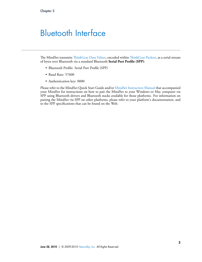## <span id="page-4-0"></span>Bluetooth Interface

The MindSet transmits Th[inkGear Data Values](#page-5-0), encoded within Th[inkGear Packets,](#page-8-0) as a serial stream of bytes over Bluetooth via a standard Bluetooth **Serial Port Proíle (SPP)**:

- Bluetooth Profile: Serial Port Profile (SPP)
- Baud Rate: 57600
- Authentication key: 0000

Please refer to the MindSet Quick Start Guide and/or MindSet Instruction Manual that accompanied your MindSet for instructions on how to pair the MindSet to your Windows or Mac computer via SPP using Bluetooth drivers and Bluetooth stacks available for those platforms. For information on pairing the MindSet via SPP on other platforms, please refer to your platform's documentation, and to the SPP specifications that can be found on the Web.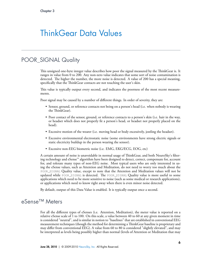## <span id="page-5-0"></span>ThinkGear Data Values

## POOR\_SIGNAL Quality

<span id="page-5-1"></span>This unsigned one-byte integer value describes how poor the signal measured by the ThinkGear is. It ranges in value from 0 to 200. Any non-zero value indicates that some sort of noise contamination is detected. The higher the number, the more noise is detected. A value of 200 has a special meaning, specifically that the ThinkGear contacts are not touching the user's skin.

This value is typically output every second, and indicates the poorness of the most recent measurements.

Poor signal may be caused by a number of different things. In order of severity, they are:

- Sensor, ground, or reference contacts not being on a person's head (i.e. when nobody is wearing the ThinkGear).
- Poor contact of the sensor, ground, or reference contacts to a person's skin (i.e. hair in the way, or headset which does not properly ët a person's head, or headset not properly placed on the head).
- Excessive motion of the wearer (i.e. moving head or body excessively, jostling the headset).
- Excessive environmental electrostatic noise (some environments have strong electric signals or static electricity buildup in the person wearing the sensor).
- Excessive non-EEG biometric noise (i.e. EMG, EKG/ECG, EOG, etc)

A certain amount of noise is unavoidable in normal usage of ThinkGear, and both NeuroSky's filtering technology and eSense™ algorithm have been designed to detect, correct, compensate for, account for, and tolerate many types of non-EEG noise. Most typical users who are only interested in using the eSense values, such as Attention and Meditation, do not need to worry too much about the POOR\_SIGNAL Quality value, except to note that the Attention and Meditation values will not be updated while POOR\_SIGNAL is detected. The POOR\_SIGNAL Quality value is more useful to some applications which need to be more sensitive to noise (such as some medical or research applications), or applications which need to know right away when there is even minor noise detected.

<span id="page-5-2"></span>By default, output of this Data Value is enabled. It is typically output once a second.

## eSense™ Meters

For all the different types of eSenses (i.e. Attention, Meditation), the meter value is reported on a relative eSense scale of 1 to 100. On this scale, a value between 40 to 60 at any given moment in time is considered "neutral", and is similar in notion to "baselines" that are established in conventional EEG measurement techniques (though the method for determining a ThinkGear baseline is proprietary and may differ from conventional EEG). A value from 60 to 80 is considered "slightly elevated", and may be interpreted as levels being possibly higher than normal (levels of Attention or Meditation that may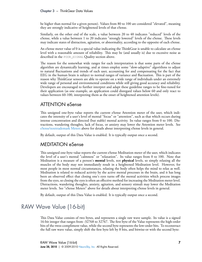be higher than normal for a given person). Values from 80 to 100 are considered "elevated", meaning they are strongly indicative of heightened levels of that eSense.

Similarly, on the other end of the scale, a value between 20 to 40 indicates "reduced" levels of the eSense, while a value between 1 to 20 indicates "strongly lowered" levels of the eSense. These levels may indicate states of distraction, agitation, or abnormality, according to the opposite of each eSense.

An eSense meter value of 0 is a special value indicating the ThinkGear is unable to calculate an eSense level with a reasonable amount of reliability. This may be (and usually is) due to excessive noise as described in the POOR\_SIGNAL Quality section above.

The reason for the somewhat wide ranges for each interpretation is that some parts of the eSense algorithm are dynamically learning, and at times employ some "slow-adaptive" algorithms to adjust to natural fluctuations and trends of each user, accounting for and compensating for the fact that EEG in the human brain is subject to normal ranges of variance and fluctuation. This is part of the reason why ThinkGear sensors are able to operate on a wide range of individuals under an extremely wide range of personal and environmental conditions while still giving good accuracy and reliability. Developers are encouraged to further interpret and adapt these guideline ranges to be ëne-tuned for their application (as one example, an application could disregard values below 60 and only react to values between 60-100, interpreting them as the onset of heightened attention levels).

### <span id="page-6-0"></span>ATTENTION eSense

This unsigned one-byte value reports the current eSense Attention meter of the user, which indicates the intensity of a user's level of mental "focus" or "attention", such as that which occurs during intense concentration and directed (but stable) mental activity. Its value ranges from 0 to 100. Distractions, wandering thoughts, lack of focus, or anxiety may lower the Attention meter levels. See [eSense\texttrademark Meters](#page-5-2) above for details about interpreting eSense levels in general.

By default, output of this Data Value is enabled. It is typically output once a second.

### <span id="page-6-1"></span>MEDITATION eSense

This unsigned one-byte value reports the current eSense Meditation meter of the user, which indicates the level of a user's mental "calmness" or "relaxation". Its value ranges from 0 to 100. Note that Meditation is a measure of a person's **mental** levels, not **physical** levels, so simply relaxing all the muscles of the body may not immediately result in a heightened Meditation level. However, for most people in most normal circumstances, relaxing the body often helps the mind to relax as well. Meditation is related to reduced activity by the active mental processes in the brain, and it has long been an observed effect that closing one's eyes turns off the mental activities which process images from the eyes, so closing the eyes is often an effective method for increasing the Meditation meter level. Distractions, wandering thoughts, anxiety, agitation, and sensory stimuli may lower the Meditation meter levels. See "eSense Meters" above for details about interpreting eSense levels in general.

<span id="page-6-2"></span>By default, output of this Data Value is enabled. It is typically output once a second.

## RAW Wave Value (16-bit)

This Data Value consists of two bytes, and represents a single raw wave sample. Its value is a signed 16-bit integer that ranges from -32768 to 32767. The first byte of the Value represents the high-order bits of the twos-compliment value, while the second byte represents the low-order bits. To reconstruct the full raw wave value, simply shift the first byte left by 8 bits, and bitwise-or with the second byte: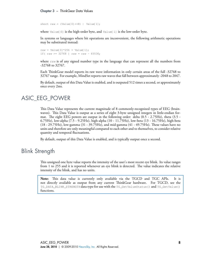**Chapter 3** – ThinkGear Data Values

short raw =  $(Value[0] << 8)$  | Value[1];

where Value[0] is the high-order byte, and Value[1] is the low-order byte.

In systems or languages where bit operations are inconvenient, the following arithmetic operations may be substituted instead:

```
raw = Value[0] *256 + Value[1];
if( raw >= 32768 ) raw = raw - 65536;
```
where raw is of any signed number type in the language that can represent all the numbers from -32768 to 32767.

Each ThinkGear model reports its raw wave information in only certain areas of the full -32768 to 32767 range. For example, MindSet reports raw waves that fall between approximately -2048 to 2047.

<span id="page-7-0"></span>By default, output of this Data Value is enabled, and is outputed 512 times a second, or approximately once every 2ms.

### ASIC\_EEG\_POWER

This Data Value represents the current magnitude of 8 commonly-recognized types of EEG (brainwaves). This Data Value is output as a series of eight 3-byte unsigned integers in little-endian format. The eight EEG powers are output in the following order: delta  $(0.5 - 2.75)$ Hz), theta  $(3.5 - 1.5)$ 6.75Hz), low-alpha (7.5 - 9.25Hz), high-alpha (10 - 11.75Hz), low-beta (13 - 16.75Hz), high-beta  $(18 - 29.75)$  Hz, low-gamma  $(31 - 39.75)$  Hz, and mid-gamma  $(41 - 49.75)$  Hz. These values have no units and therefore are only meaningful compared to each other and to themselves, to consider relative quantity and temporal fluctuations.

<span id="page-7-1"></span>By default, output of this Data Value is enabled, and is typically output once a second.

### Blink Strength

This unsigned one byte value reports the intensity of the user's most recent eye blink. Its value ranges from 1 to 255 and it is reported whenever an eye blink is detected. The value indicates the relative intensity of the blink, and has no units.

**Note:** This data value is currently only available via the TGCD and TGC APIs. It is not directly available as output from any current ThinkGear hardware. For TGCD, see the TG\_DATA\_BLINK\_STRENGTH data type for use with the TG\_GetValueStatus() and TG\_GetValue() functions.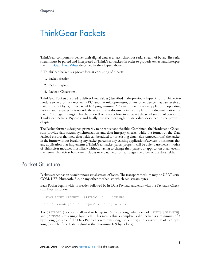## <span id="page-8-0"></span>ThinkGear Packets

ThinkGear components deliver their digital data as an asynchronous serial stream of bytes. The serial stream must be parsed and interpreted as ThinkGear Packets in order to properly extract and interpret the Th[inkGear Data Values](#page-5-0) described in the chapter above.

A ThinkGear Packet is a packet format consisting of 3 parts:

- 1. Packet Header
- 2. Packet Payload
- 3. Payload Checksum

ThinkGear Packets are used to deliver Data Values (described in the previous chapter) from a ThinkGear module to an arbitrary receiver (a PC, another microprocessor, or any other device that can receive a serial stream of bytes). Since serial I/O programming APIs are different on every platform, operating system, and language, it is outside the scope of this document (see your platform's documentation for serial I/O programming). This chapter will only cover how to interpret the serial stream of bytes into ThinkGear Packets, Payloads, and finally into the meaningful Data Values described in the previous chapter.

The Packet format is designed primarily to be robust and flexible: Combined, the Header and Checksum provide data stream synchronization and data integrity checks, while the format of the Data Payload ensures that new data fields can be added to (or existing data fields removed from) the Packet in the future without breaking any Packet parsers in any existing applications/devices. This means that any application that implements a ThinkGear Packet parser properly will be able to use newer models of ThinkGear modules most likely without having to change their parsers or application at all, even if the newer ThinkGear hardware includes new data fields or rearranges the order of the data fields.

## Packet Structure

<span id="page-8-1"></span>Packets are sent as an asynchronous serial stream of bytes. The transport medium may be UART, serial COM, USB, bluetooth, file, or any other mechanism which can stream bytes.

Each Packet begins with its Header, followed by its Data Payload, and ends with the Payload's Checksum Byte, as follows:

| [SYNC] [SYNC] [PLENGTH] [PAYLOAD] [CHKSUM]                                                                                                        |  |
|---------------------------------------------------------------------------------------------------------------------------------------------------|--|
| $\land \land \land \land \land \land \land$ (Header) $\land \land \land \land \land \land$ (Payload) $\land \land \land \land$ (Checksum) $\land$ |  |

The  $[$  PAYLOAD...] section is allowed to be up to 169 bytes long, while each of  $[$  SYNC],  $[$  PLENGTH], and  $[CHKSUM]$  are a single byte each. This means that a complete, valid Packet is a minimum of 4 bytes long (possible if the Data Payload is zero bytes long, i.e. empty) and a maximum of 173 bytes long (possible if the Data Payload is the maximum 169 bytes long).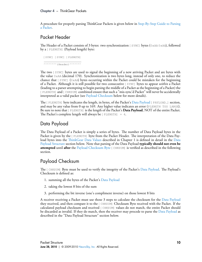A procedure for properly parsing ThinkGear Packets is given below in [Step-By-Step Guide to Parsing](#page-12-0) [a Packet.](#page-12-0)

#### <span id="page-9-0"></span>Packet Header

The Header of a Packet consists of 3 bytes: two synchronization [SYNC] bytes (0xAA 0xAA), followed by a [PLENGTH] (Payload length) byte:

```
[SYNC] [SYNC] [PLENGTH]
_______________________
\wedge^^^^^^^^ (Header)\wedge^^^^^^^
```
e two [SYNC] bytes are used to signal the beginning of a new arriving Packet and are bytes with the value 0xAA (decimal 170). Synchronization is two bytes long, instead of only one, to reduce the chance that [SYNC]  $(0 \times A)$  bytes occurring within the Packet could be mistaken for the beginning of a Packet. Although it is still possible for two consecutive [SYNC] bytes to appear *within* a Packet (leading to a parser attempting to begin parsing the middle of a Packet as the beginning of a Packet) the [PLENGTH] and [CHKSUM] combined ensure that such a "mis-sync'd Packet" will never be accidentally interpreted as a valid packet (see [Payload Checksum](#page-9-2) below for more details).

The [PLENGTH] byte indicates the length, in bytes, of the Packet's [Data Payload](#page-9-1) [PAYLOAD...] section, and may be any value from 0 up to 169. Any higher value indicates an error (PLENGTH TOO LARGE). Be sure to note that [PLENGTH] is the length of the Packet's **Data Payload**, NOT of the entire Packet. The Packet's complete length will always be  $[$  PLENGTH]  $+$  4.

#### <span id="page-9-1"></span>Data Payload

The Data Payload of a Packet is simply a series of bytes. The number of Data Payload bytes in the Packet is given by the [PLENGTH] byte from the Packet Header. The interpretation of the Data Payload bytes into the Th[inkGear Data Values](#page-5-0) described in Chapter 1 is defined in detail in the [Data](#page-10-0) [Payload Structure](#page-10-0) section below. Note that parsing of the Data Payload **typically should not even be attempted** until **after** the Payload Checksum Byte [CHKSUM] is veriëed as described in the following section.

### <span id="page-9-2"></span>Payload Checksum

The [CHKSUM] Byte must be used to verify the integrity of the Packet's [Data Payload](#page-9-1). The Payload's Checksum is defined as:

- 1. summing all the bytes of the Packet's [Data Payload](#page-9-1)
- 2. taking the lowest 8 bits of the sum
- 3. performing the bit inverse (one's compliment inverse) on those lowest 8 bits

A receiver receiving a Packet must use those 3 steps to calculate the checksum for the [Data Payload](#page-9-1) they received, and then compare it to the [CHKSUM] Checksum Byte received with the Packet. If the calculated payload checksum and received [CHKSUM] values do not match, the entire Packet should be discarded as invalid. If they do match, then the receiver may procede to parse the [Data Payload](#page-9-1) as described in the "Data Payload Structure" section below.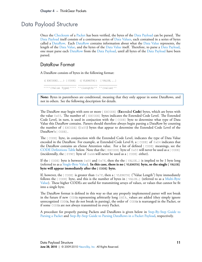## Data Payload Structure

<span id="page-10-0"></span>Once the [Checksum](#page-9-2) of a [Packet](#page-8-0) has been verified, the bytes of the [Data Payload](#page-9-1) can be parsed. The [Data Payload](#page-9-1) itself consists of a continuous series of Data Values, each contained in a series of bytes called a [DataRow.](#page-10-1) Each [DataRow](#page-10-1) contains information about what the Data Value represents, the length of the Data Value, and the bytes of the Data Value itself. Therefore, to parse a [Data Payload](#page-9-1), one must parse each [DataRow](#page-10-1) from the [Data Payload](#page-9-1), until all bytes of the [Data Payload](#page-9-1) have been parsed.

#### <span id="page-10-1"></span>DataRow Format

A DataRow consists of bytes in the following format:

```
([EXCODE]...) [CODE] ([VLENGTH]) [VALUE...]
____________________ ____________ ___________
\wedge^{\wedge\wedge\wedge}( Value Type) \wedge^{\wedge\wedge\wedge} \wedge^{\wedge} (length) \wedge^{\wedge} \wedge^{\wedge} (value) \wedge^{\wedge}
```
**Note:** Bytes in parentheses are conditional, meaning that they only appear in some DataRows, and not in others. See the following description for details.

e DataRow may begin with zero or more [EXCODE] (**Ex**tended **Code**) bytes, which are bytes with the value  $0 \times 55$ . The number of [EXCODE] bytes indicates the Extended Code Level. The Extended Code Level, in turn, is used in conjuction with the [CODE] byte to determine what type of Data Value this DataRow contains. Parsers should therefore always begin parsing a DataRow by counting the number of  $[EXCODE]$  (0x55) bytes that appear to determine the Extended Code Level of the DataRow's [CODE].

The [CODE] byte, in conjunction with the Extended Code Level, indicates the type of Data Value encoded in the DataRow. For example, at Extended Code Level 0, a  $[CODE]$  of  $0 \times 04$  indicates that the DataRow contains an eSense Attention value. For a list of deëned [CODE] meanings, see the CODE Definitions Table below. Note that the [EXCODE] byte of  $0x55$  will never be used as a [CODE] (incidentally, the  $[SYNC]$  byte of  $0 \times A$  will never be used as a  $[CODE]$  either).

If the  $\lceil$  CODE] byte is between  $0 \times 00$  and  $0 \times 7$  f, then the the  $\lceil$  VALUE...] is implied to be 1 byte long (referred to as a Single-Byte Value). **In this case, there is no [VLENGTH] byte, so the single [VALUE] byte will appear immediately after the [CODE] byte.**

If, however, the  $[CODE]$  is greater than  $0 \times 7F$ , then a  $[VLENGTH]$  ("Value Length") byte immediately follows the [CODE] byte, and this is the number of bytes in [VALUE…] (referred to as a Multi-Byte Value). These higher CODEs are useful for transmitting arrays of values, or values that cannot be fit into a single byte.

e DataRow format is deëned in this way so that any properly implemented parser will not break in the future if new CODEs representing arbitrarily long DATA… values are added (they simply ignore unrecognized CODEs, but do not break in parsing), the order of CODEs is rearranged in the Packet, or if some CODEs are not always transmitted in every Packet.

A procedure for properly parsing Packets and DataRows is given below in [Step-By-Step Guide to](#page-12-0) [Parsing a Packet](#page-12-0) and [Step-By-Step Guide to Parsing DataRows in a Packet Payload,](#page-13-0) respectively.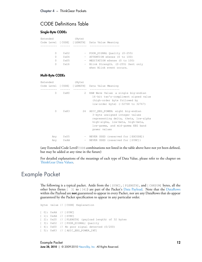#### <span id="page-11-0"></span>CODE Definitions Table

#### **Single-Byte CODEs**

| Extended |                | (Byte) |                                               |
|----------|----------------|--------|-----------------------------------------------|
|          |                |        | Code Level [CODE] [LENGTH] Data Value Meaning |
|          |                |        |                                               |
|          |                |        |                                               |
| $\Omega$ | $0 \times 02$  |        | - POOR SIGNAL Quality (0-255)                 |
| $\Omega$ | $0 \times 04$  |        | - ATTENTION eSense (0 to 100)                 |
| $\Omega$ | $0 \times 0.5$ |        | - MEDITATION eSense (0 to 100)                |
| $\Omega$ | 0x16           |        | - Blink Strength. (0-255) Sent only           |
|          |                |        | when Blink event occurs.                      |

#### **Multi-Byte CODEs**

| Extended                   |               | (Byte)            |                                                                                                                                                                                                     |
|----------------------------|---------------|-------------------|-----------------------------------------------------------------------------------------------------------------------------------------------------------------------------------------------------|
| Code Level [CODE] [LENGTH] |               | --------          | Data Value Meaning                                                                                                                                                                                  |
| 0                          | 0x80          | 2                 | RAW Wave Value: a single big-endian<br>16-bit two's-compliment signed value<br>(high-order byte followed by<br>low-order byte) (-32768 to 32767)                                                    |
| $\Omega$                   | $0 \times 83$ | 24                | ASIC_EEG_POWER: eight big-endian<br>3-byte unsigned integer values<br>representing delta, theta, low-alpha<br>high-alpha, low-beta, high-beta,<br>low-gamma, and mid-gamma EEG band<br>power values |
| Any<br>Any                 | 0x55<br>0xAA  | $\qquad \qquad -$ | NEVER USED (reserved for [EXCODE])<br>- NEVER USED (reserved for [SYNC])                                                                                                                            |

(any Extended Code Level/CODE combinations not listed in the table above have not yet been deëned, but may be added at any time in the future)

<span id="page-11-1"></span>For detailed explanations of the meanings of each type of Data Value, please refer to the chapter on Th[inkGear Data Values.](#page-5-0)

## Example Packet

The following is a typical packet. Aside from the [SYNC], [PLENGTH], and [CHKSUM] bytes, all the other bytes (bytes [ 3] to [34]) are part of the Packet's [Data Payload.](#page-9-1) Note that the [DataRows](#page-10-1) within the Payload are **not** guaranteed to appear in every Packet, nor are any DataRows that do appear guaranteed by the Packet specification to appear in any particular order.

byte: value // [CODE] Explanation [ 0]: 0xAA // [SYNC] [ 1]: 0xAA // [SYNC] [ 2]: 0x20 // [PLENGTH] (payload length) of 32 bytes [ 3]: 0x02 // [POOR\_SIGNAL] Quality [ 4]: 0x00 // No poor signal detected (0/200) [ 5]: 0x83 // [ASIC\_EEG\_POWER\_INT]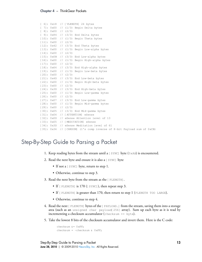```
[ 6]: 0x18 // [VLENGTH] 24 bytes
[ 7]: 0x00 // (1/3) Begin Delta bytes
[8]: 0x00 // (2/3)[ 9]: 0x94 // (3/3) End Delta bytes
[10]: 0x00 // (1/3) Begin Theta bytes
[11]: 0x00 // (2/3)
[12]: 0x42 // (3/3) End Theta bytes
[13]: 0x00 // (1/3) Begin Low-alpha bytes
[14]: 0x00 // (2/3)
[15]: 0x0B // (3/3) End Low-alpha bytes
[16]: 0x00 // (1/3) Begin High-alpha bytes
[17]: 0x00 // (2/3)
[18]: 0x64 // (3/3) End High-alpha bytes
[19]: 0x00 // (1/3) Begin Low-beta bytes
[20]: 0x00 // (2/3)
[21]: 0x4D // (3/3) End Low-beta bytes
[22]: 0x00 // (1/3) Begin High-beta bytes
[23]: 0x00 // (2/3)
[24]: 0x3D // (3/3) End High-beta bytes
[25]: 0x00 // (1/3) Begin Low-gamma bytes
[26]: 0x00 // (2/3)
[27]: 0x07 // (3/3) End Low-gamma bytes
[28]: 0x00 // (1/3) Begin Mid-gamma bytes
[29]: 0x00 // (2/3)
[30]: 0x05 // (3/3) End Mid-gamma bytes
[31]: 0x04 // [ATTENTION] eSense
[32]: 0x0D // eSense Attention level of 13
[33]: 0x05 // [MEDITATION] eSense
[34]: 0x3D // eSense Meditation level of 61
[35]: 0x34 // [CHKSUM] (1's comp inverse of 8-bit Payload sum of 0xCB)
```
## Step-By-Step Guide to Parsing a Packet

- <span id="page-12-0"></span>1. Keep reading bytes from the stream until a  $[$  SYNC] byte  $(0 \times AA)$  is encountered.
- 2. Read the next byte and ensure it is also a  $[$  SYNC] byte
	- If not a [ SYNC] byte, return to step 1.
	- Otherwise, continue to step 3.
- 3. Read the next byte from the stream as the [PLENGTH].
	- If  $[$  PLENGTH] is 170 ( $[$  SYNC]), then repeat step 3.
	- If [ PLENGTH] is greater than 170, then return to step 1 (PLENGTH TOO LARGE).
	- Otherwise, continue to step 4.
- 4. Read the next [PLENGTH] bytes of the [PAYLOAD…] from the stream, saving them into a storage area (such as an unsigned char payload[256] array). Sum up each byte as it is read by incrementing a checksum accumulator (checksum  $+=$  byte).
- 5. Take the lowest 8 bits of the checksum accumulator and invert them. Here is the C code:

```
checksum \&= 0 \times FF;checksum = ~\simchecksum & 0xFF;
```
Step-By-Step Guide to Parsing a Packet **June 28, 2010** | © 2009-2010 [NeuroSky, Inc.](http://www.neurosky.com) All Rights Reserved.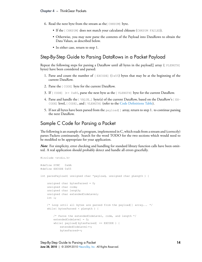- 6. Read the next byte from the stream as the CHKSUM byte.
	- If the [CHKSUM] does not match your calculated chksum (CHKSUM FAILED).
	- Otherwise, you may now parse the contents of the Payload into DataRows to obtain the Data Values, as described below.
	- In either case, return to step 1.

#### <span id="page-13-0"></span>Step-By-Step Guide to Parsing DataRows in a Packet Payload

Repeat the following steps for parsing a DataRow until all bytes in the payload[] array ( $[PEINGTH]$ bytes) have been considered and parsed:

- 1. Parse and count the number of  $[EXCODE]$  (0x55) bytes that may be at the beginning of the current DataRow.
- 2. Parse the [CODE] byte for the current DataRow.
- 3. If [CODE] *>*= 0x80, parse the next byte as the [VLENGTH] byte for the current DataRow.
- 4. Parse and handle the [VALUE...] byte(s) of the current DataRow, based on the DataRow's [EX-CODE] level, [CODE], and [VLENGTH] (refer to the Code Definitions Table).
- 5. If not all bytes have been parsed from the  $\text{payload}[$  array, return to step 1. to continue parsing the next DataRow.

#### <span id="page-13-1"></span>Sample C Code for Parsing a Packet

The following is an example of a program, implemented in C, which reads from a stream and (correctly) parses Packets continuously. Search for the word TODO for the two sections which would need to be modified to be appropriate for your application.

*Note*: For simplicity, error checking and handling for standard library function calls have been omitted. A real application should probably detect and handle all errors gracefully.

```
#include <stdio.h>
#define SYNC 0xAA
#define EXCODE 0x55
int parsePayload( unsigned char *payload, unsigned char pLength ) {
   unsigned char bytesParsed = 0;
   unsigned char code;
   unsigned char length;
   unsigned char extendedCodeLevel;
   int i;
   /* Loop until all bytes are parsed from the payload[] array... */
    while( bytesParsed < pLength ) {
        /* Parse the extendedCodeLevel, code, and length */
       extendedCodeLevel = 0;
        while( payload[bytesParsed] == EXCODE ) {
           extendedCodeLevel++;
           bytesParsed++;
```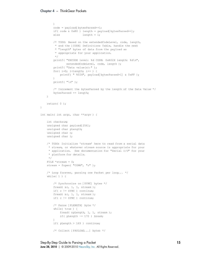```
}
        code = payload[bytesParsed++];
        if( code & 0x80 ) length = payload[bytesParsed++];
        else length = 1;
        /* TODO: Based on the extendedCodeLevel, code, length,
         * and the [CODE] Definitions Table, handle the next
         * "length" bytes of data from the payload as
         * appropriate for your application.
        */
        printf( "EXCODE level: %d CODE: 0x%02X length: %d\n",
               extendedCodeLevel, code, length );
        printf( "Data value(s):" );
        for( i=0; i<length; i++ ) {
            printf( " %02X", payload[bytesParsed+i] & 0xFF );
        \mathfrak{r}printf("\n\n\cdot");
        /* Increment the bytesParsed by the length of the Data Value */
        bytesParsed += length;
    }
   return( 0 );
}
int main( int argc, char **argv ) {
    int checksum;
    unsigned char payload[256];
    unsigned char pLength;
    unsigned char c;
    unsigned char i;
    /* TODO: Initialize 'stream' here to read from a serial data
    * stream, or whatever stream source is appropriate for your
    * application. See documentation for "Serial I/O" for your
    * platform for details.
    */
    FILE *stream = 0;
    stream = fopen("COM4", "r");
    /* Loop forever, parsing one Packet per loop... */
    while( 1 ) {
        /* Synchronize on [SYNC] bytes */
        fread( &c, 1, 1, stream );
        if( c != SYNC ) continue;
        fread( &c, 1, 1, stream );
        if( c != SYNC ) continue;
        /* Parse [PLENGTH] byte */
        while( true ) {
           fread( &pLength, 1, 1, stream );
            if ( pLength \sim= 170 ) break;
        }
        if( pLength > 169 ) continue;
        /* Collect [PAYLOAD...] bytes */
```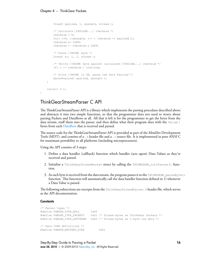```
fread( payload, 1, pLength, stream );
    /* Calculate [PAYLOAD...] checksum */
    checksum = 0;for(i=0; i<pLength; i++ ) checksum += payload[i];
    checksum \&= 0 \times FF;
    checksum = ~\simchecksum & 0xFF;
    /* Parse [CKSUM] byte */
    fread( &c, 1, 1, stream );
    /* Verify [CKSUM] byte against calculated [PAYLOAD...] checksum */
    if( c != checksum ) continue;
    /* Since [CKSUM] is OK, parse the Data Payload */
    parsePayload( payload, pLength );
}
return( 0 );
```
#### ThinkGearStreamParser C API

The ThinkGearStreamParser API is a library which implements the parsing procedure described above and abstracts it into two simple functions, so that the programmer does not need to worry about parsing Packets and DataRows at all. All that is left is for the programmer to get the bytes from the data stream, stuff them into the parser, and then define what their program does with the  $Valuel$ bytes from each [DataRow](#page-10-1) that is received and parsed.

The source code for the ThinkGearStreamParser API is provided as part of the MindSet Development Tools (MDT), and consists of a . h header file and a .  $\circ$  source file. It is implemented in pure ANSI C for maximum portability to all platforms (including microprocessors).

Using the API consists of 3 steps:

- 1. Deëne a data handler (callback) function which handles (acts upon) Data Values as they're received and parsed.
- 2. Initialize a ThinkGearStreamParser struct by calling the THINKGEAR\_initParser() function.
- 3. As each byte is received from the data stream, the program passes it to the THINKGEAR\_parseByte() function. This function will automatically call the data handler function defined in 1) whenever a Data Value is parsed.

The following subsections are excerpts from the ThinkGearStreamParser. h header file, which serves as the API documentation.

#### **Constants**

<span id="page-15-0"></span>}

```
/* Parser types */
#define PARSER_TYPE_NULL 0x00
#define PARSER_TYPE_PACKETS 0x01 /* Stream bytes as ThinkGear Packets */
#define PARSER_TYPE_2BYTERAW 0x02 /* Stream bytes as 2-byte raw data */
/* Data CODE definitions */
#define PARSER_BATTERY_CODE 0x01
```
Step-By-Step Guide to Parsing a Packet **June 28, 2010** | © 2009-2010 [NeuroSky, Inc.](http://www.neurosky.com) All Rights Reserved.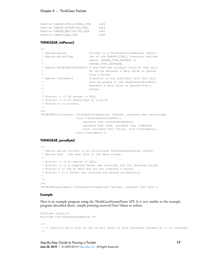| #define PARSER POOR SIGNAL CODE | $0 \times 02$  |
|---------------------------------|----------------|
| #define PARSER ATTENTION CODE   | $0 \times 04$  |
| #define PARSER MEDITATION CODE  | $0 \times 0.5$ |
| #define PARSER RAW CODE         | $0 \times 80$  |

#### **THINKGEAR\_initParser()**

```
/**
* @param parser Pointer to a ThinkGearStreamParser object.
* @param parserType One of the PARSER_TYPE_* constants defined
                           above: PARSER_TYPE_PACKETS or
                            * PARSER_TYPE_2BYTERAW.
* @param handleDataValueFunc A user-defined callback function that will
                            be called whenever a data value is parsed
                            from a Packet.
* @param customData A pointer to any arbitrary data that will
                             also be passed to the handleDataValueFunc
                             whenever a data value is parsed from a
                             Packet.
 *
* @return -1 if @c parser is NULL.
* @return -2 if @c parserType is invalid.
* @return 0 on success.
*/
int
THINKGEAR_initParser( ThinkGearStreamParser *parser, unsigned char parserType,
                     void (*handleDataValueFunc)(
                        unsigned char extendedCodeLevel,
                         unsigned char code, unsigned char numBytes,
                         const unsigned char *value, void *customData),
                     void *customData );
```
#### **THINKGEAR\_parseByte()**

```
/**
* @param parser Pointer to an initialized ThinkGearDataParser object.
* @param byte The next byte of the data stream.
 *
* @return -1 if @c parser is NULL.
* @return -2 if a complete Packet was received, but the checksum failed.
* @return 0 if the @c byte did not yet complete a Packet.
* @return 1 if a Packet was received and parsed successfully.
 *
*/
int
THINKGEAR_parseByte( ThinkGearStreamParser *parser, unsigned char byte );
```
#### **Example**

Here is an example program using the ThinkGearStreamParser API. It is very similar to the example program described above, simply printing received Data Values to stdout:

```
#include <stdio.h>
#include "ThinkGearStreamParser.h"
/**
* 1) Function which acts on the value[] bytes of each ThinkGear DataRow as it is received.
*/
```
Step-By-Step Guide to Parsing a Packet **June 28, 2010** | © 2009-2010 [NeuroSky, Inc.](http://www.neurosky.com) All Rights Reserved.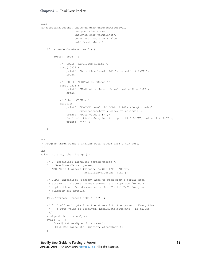```
void
handleDataValueFunc( unsigned char extendedCodeLevel,
                    unsigned char code,
                    unsigned char valueLength,
                     const unsigned char *value,
                     void *customData ) {
    if( extendedCodeLevel == 0 ) {
        switch( code ) {
            /* [CODE]: ATTENTION eSense */
            case( 0x04 ):
               printf( "Attention Level: %d\n", value[0] & 0xFF );
                break;
            /* [CODE]: MEDITATION eSense */
            case( 0x05 ):
                printf( "Meditation Level: %d\n", value[0] & 0xFF );
                break;
            /* Other [CODE]s */
            default:
               printf( "EXCODE level: %d CODE: 0x%02X vLength: %d\n",
                       extendedCodeLevel, code, valueLength );
               printf( "Data value(s):" );
               for( i=0; i<valueLength; i++ ) printf( " %02X", value[i] & 0xFF );
                printf( "\n" );
       }
   }
}
/**
* Program which reads ThinkGear Data Values from a COM port.
*/
int
main( int argc, char **argv ) {
    /* 2) Initialize ThinkGear stream parser */
   ThinkGearStreamParser parser;
    THINKGEAR_initParser( &parser, PARSER_TYPE_PACKETS,
                         handleDataValueFunc, NULL );
    /* TODO: Initialize 'stream' here to read from a serial data
    * stream, or whatever stream source is appropriate for your
    * application. See documentation for "Serial I/O" for your
     * platform for details.
    */
    FILE *stream = fopen( "COM4", "r" );
    /* 3) Stuff each byte from the stream into the parser. Every time
    * a Data Value is received, handleDataValueFunc() is called.
    */
    unsigned char streamByte;
    while( 1 ) {
       fread( &streamByte, 1, stream );
       THINKGEAR_parseByte( &parser, streamByte );
    }
```